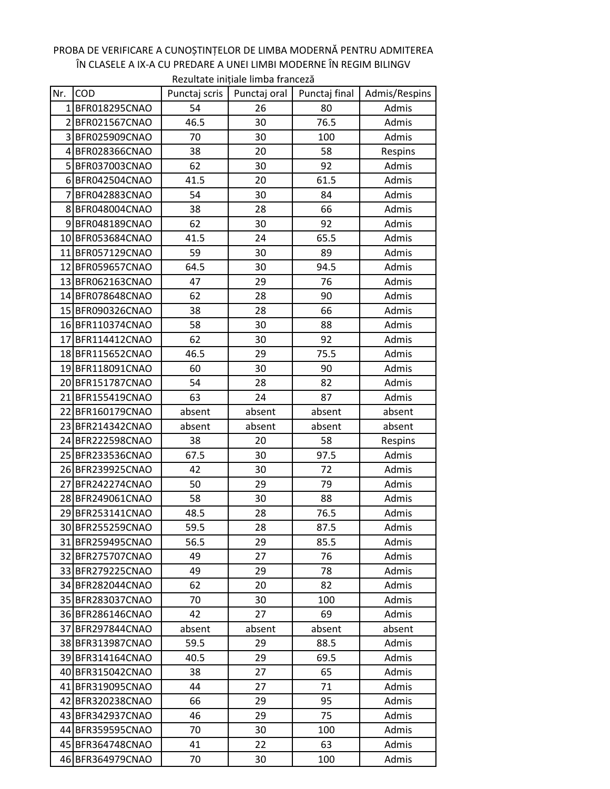## Nr. COD Punctaj scris Punctaj oral Punctaj final Admis/Respins 1 BFR018295CNAO | 54 | 26 | 80 | Admis 2 BFR021567CNAO 46.5 30 76.5 Admis 3 BFR025909CNAO 70 30 100 Admis 4 BFR028366CNAO 38 20 58 Respins 5 BFR037003CNAO 62 30 92 Admis 6 BFR042504CNAO 41.5 20 61.5 Admis 7 BFR042883CNAO 54 30 84 Admis 8 BFR048004CNAO 38 28 66 Admis 9 BFR048189CNAO 62 930 92 d Admis 10 BFR053684CNAO | 41.5 | 24 | 65.5 | Admis 11 BFR057129CNAO | 59 | 30 | 89 | Admis 12 BFR059657CNAO | 64.5 | 30 | 94.5 | Admis 13 BFR062163CNAO 47 29 76 Admis 14 BFR078648CNAO | 62 | 28 | 90 | Admis 15 BFR090326CNAO 38 28 66 Admis 16 BFR110374CNAO | 58 | 30 | 88 | Admis 17 BFR114412CNAO 62 30 92 Admis 18 BFR115652CNAO | 46.5 | 29 | 75.5 | Admis 19 BFR118091CNAO | 60 | 30 | 90 | Admis 20 BFR151787CNAO | 54 | 28 | 82 | Admis 21 BFR155419CNAO 63 | 24 | 87 | Admis 22 BFR160179CNAO absent absent absent absent absent 23 BFR214342CNAO absent absent absent absent absent 24 BFR222598CNAO | 38 | 20 | 58 | Respins 25 BFR233536CNAO | 67.5 | 30 | 97.5 | Admis 26 BFR239925CNAO 42 30 72 Admis 27 BFR242274CNAO 50 29 79 Admis 28 BFR249061CNAO | 58 | 30 | 88 | Admis 29 BFR253141CNAO | 48.5 | 28 | 76.5 | Admis 30 BFR255259CNAO | 59.5 | 28 | 87.5 | Admis 31 BFR259495CNAO 56.5 29 85.5 Admis 32 BFR275707CNAO | 49 | 27 | 76 | Admis 33 BFR279225CNAO 49 29 78 Admis 34 BFR282044CNAO | 62 | 20 | 82 | Admis 35 BFR283037CNAO | 70 | 30 | 100 | Admis 36 BFR286146CNAO | 42 | 27 | 69 | Admis 37 BFR297844CNAO absent absent absent absent absent 38 BFR313987CNAO | 59.5 | 29 | 88.5 | Admis 39 BFR314164CNAO 40.5 29 69.5 Admis 40 BFR315042CNAO | 38 | 27 | 65 | Admis 41 BFR319095CNAO 44 27 71 Admis 42 BFR320238CNAO 66 29 95 Admis 43 BFR342937CNAO 46 29 75 Admis 44 BFR359595CNAO | 70 | 30 | 100 | Admis 45 BFR364748CNAO 41 22 63 Admis Rezultate inițiale limba franceză

46 BFR364979CNAO | 70 | 30 | 100 | Admis

## PROBA DE VERIFICARE A CUNOȘTINȚELOR DE LIMBA MODERNĂ PENTRU ADMITEREA ÎN CLASELE A IX-A CU PREDARE A UNEI LIMBI MODERNE ÎN REGIM BILINGV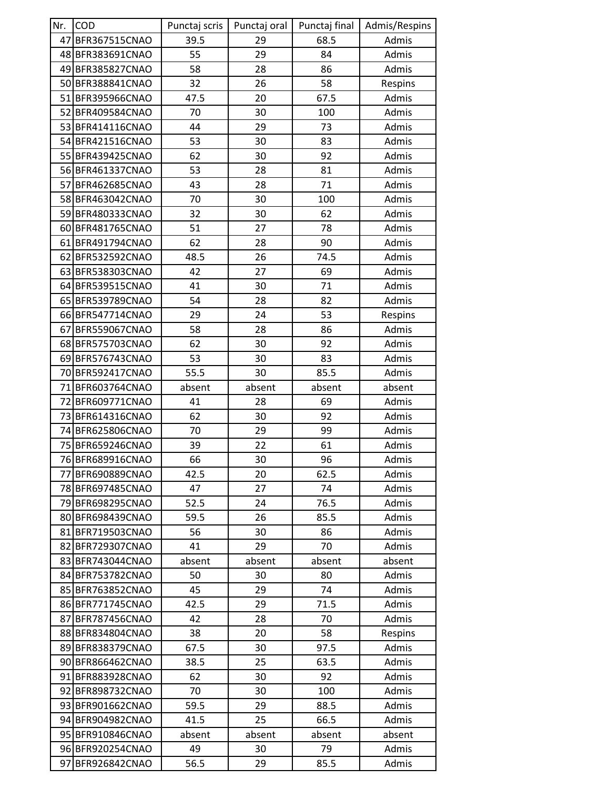| Nr. | <b>COD</b>           | Punctaj scris | Punctaj oral | Punctaj final | Admis/Respins |
|-----|----------------------|---------------|--------------|---------------|---------------|
|     | 47 BFR367515CNAO     | 39.5          | 29           | 68.5          | Admis         |
|     | 48 BFR383691CNAO     | 55            | 29           | 84            | Admis         |
|     | 49 BFR385827CNAO     | 58            | 28           | 86            | Admis         |
|     | 50 BFR388841 CNAO    | 32            | 26           | 58            | Respins       |
|     | 51 BFR395966CNAO     | 47.5          | 20           | 67.5          | Admis         |
|     | 52 BFR409584CNAO     | 70            | 30           | 100           | Admis         |
|     | 53 BFR414116CNAO     | 44            | 29           | 73            | Admis         |
|     | 54 BFR421516CNAO     | 53            | 30           | 83            | Admis         |
|     | 55 BFR439425CNAO     | 62            | 30           | 92            | Admis         |
|     | 56 BFR461337CNAO     | 53            | 28           | 81            | Admis         |
| 57  | BFR462685CNAO        | 43            | 28           | 71            | Admis         |
|     | 58 BFR463042CNAO     | 70            | 30           | 100           | Admis         |
|     | 59 BFR480333CNAO     | 32            | 30           | 62            | Admis         |
|     | 60 BFR481765CNAO     | 51            | 27           | 78            | Admis         |
|     | 61 BFR491794CNAO     | 62            | 28           | 90            | Admis         |
|     | 62 BFR532592CNAO     | 48.5          | 26           | 74.5          | Admis         |
|     | 63 BFR538303CNAO     | 42            | 27           | 69            | Admis         |
|     | 64 BFR539515CNAO     | 41            | 30           | 71            | Admis         |
|     | 65 BFR539789CNAO     | 54            | 28           | 82            | Admis         |
|     | 66 BFR547714CNAO     | 29            | 24           | 53            | Respins       |
| 67  | <b>BFR559067CNAO</b> | 58            | 28           | 86            | Admis         |
|     | 68 BFR575703CNAO     | 62            | 30           | 92            | Admis         |
|     | 69 BFR576743CNAO     | 53            | 30           | 83            | Admis         |
|     | 70 BFR592417CNAO     | 55.5          | 30           | 85.5          | Admis         |
| 71  | <b>BFR603764CNAO</b> | absent        | absent       | absent        | absent        |
|     | 72 BFR609771CNAO     | 41            | 28           | 69            | Admis         |
|     | 73 BFR614316CNAO     | 62            | 30           | 92            | Admis         |
|     | 74 BFR625806CNAO     | 70            | 29           | 99            | Admis         |
|     | 75 BFR659246CNAO     | 39            | 22           | 61            | Admis         |
|     | 76 BFR689916CNAO     | 66            | 30           | 96            | Admis         |
| 77  | <b>BFR690889CNAO</b> | 42.5          | 20           | 62.5          | Admis         |
|     | 78 BFR697485CNAO     | 47            | 27           | 74            | Admis         |
|     | 79 BFR698295CNAO     | 52.5          | 24           | 76.5          | Admis         |
|     | 80 BFR698439CNAO     | 59.5          | 26           | 85.5          | Admis         |
|     | 81 BFR719503CNAO     | 56            | 30           | 86            | Admis         |
|     | 82 BFR729307CNAO     | 41            | 29           | 70            | Admis         |
|     | 83 BFR743044CNAO     | absent        | absent       | absent        | absent        |
|     | 84 BFR753782CNAO     | 50            | 30           | 80            | Admis         |
|     | 85 BFR763852CNAO     | 45            | 29           | 74            | Admis         |
|     | 86 BFR771745CNAO     | 42.5          | 29           | 71.5          | Admis         |
| 87  | <b>BFR787456CNAO</b> | 42            | 28           | 70            | Admis         |
|     | 88 BFR834804CNAO     | 38            | 20           | 58            | Respins       |
|     | 89 BFR838379CNAO     | 67.5          | 30           | 97.5          | Admis         |
| 90  | <b>BFR866462CNAO</b> | 38.5          | 25           | 63.5          | Admis         |
|     | 91 BFR883928CNAO     | 62            | 30           | 92            | Admis         |
|     | 92 BFR898732CNAO     | 70            | 30           | 100           | Admis         |
| 93  | BFR901662CNAO        | 59.5          | 29           | 88.5          | Admis         |
|     | 94 BFR904982CNAO     | 41.5          | 25           | 66.5          | Admis         |
|     | 95 BFR910846CNAO     | absent        | absent       | absent        | absent        |
|     | 96 BFR920254CNAO     | 49            | 30           | 79            | Admis         |
| 97  | BFR926842CNAO        | 56.5          | 29           | 85.5          | Admis         |